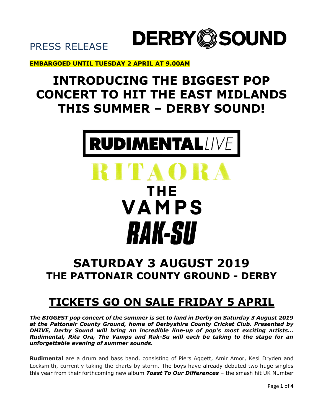

PRESS RELEASE

#### **EMBARGOED UNTIL TUESDAY 2 APRIL AT 9.00AM**

### **INTRODUCING THE BIGGEST POP CONCERT TO HIT THE EAST MIDLANDS THIS SUMMER – DERBY SOUND!**



# **RITAO** THE VAMPS *RAK-SU*

### **SATURDAY 3 AUGUST 2019 THE PATTONAIR COUNTY GROUND - DERBY**

### **TICKETS GO ON SALE FRIDAY 5 APRIL**

*The BIGGEST pop concert of the summer is set to land in Derby on Saturday 3 August 2019 at the Pattonair County Ground, home of Derbyshire County Cricket Club. Presented by DHIVE, Derby Sound will bring an incredible line-up of pop's most exciting artists… Rudimental, Rita Ora, The Vamps and Rak-Su will each be taking to the stage for an unforgettable evening of summer sounds.* 

**Rudimental** are a drum and bass band, consisting of Piers Aggett, Amir Amor, Kesi Dryden and Locksmith, currently taking the charts by storm. The boys have already debuted two huge singles this year from their forthcoming new album *Toast To Our Differences* – the smash hit UK Number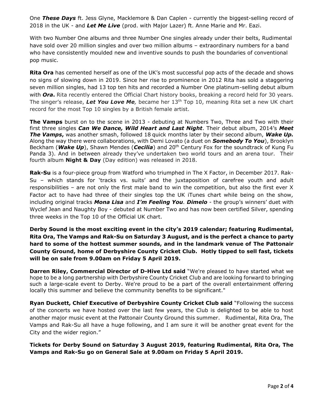One *These Days* ft. Jess Glyne, Macklemore & Dan Caplen - currently the biggest-selling record of 2018 in the UK - and *Let Me Live* (prod. with Major Lazer) ft. Anne Marie and Mr. Eazi.

With two Number One albums and three Number One singles already under their belts, Rudimental have sold over 20 million singles and over two million albums – extraordinary numbers for a band who have consistently moulded new and inventive sounds to push the boundaries of conventional pop music.

**Rita Ora** has cemented herself as one of the UK's most successful pop acts of the decade and shows no signs of slowing down in 2019. Since her rise to prominence in 2012 Rita has sold a staggering seven million singles, had 13 top ten hits and recorded a Number One platinum-selling debut album with *Ora***.** Rita recently entered the Official Chart history books, breaking a record held for 30 years. The singer's release, *Let You Love Me,* became her 13th Top 10, meaning Rita set a new UK chart record for the most Top 10 singles by a British female artist.

**The Vamps** burst on to the scene in 2013 - debuting at Numbers Two, Three and Two with their first three singles *Can We Dance, Wild Heart and Last Night*. Their debut album, 2014's *Meet The Vamps***,** was another smash, followed 18 quick months later by their second album, *Wake Up.* Along the way there were collaborations, with Demi Lovato (a duet on *Somebody To You*), Brooklyn Beckham (*Wake Up*), Shawn Mendes (*Cecilia*) and 20th Century Fox for the soundtrack of Kung Fu Panda 3). And in between already they've undertaken two world tours and an arena tour. Their fourth album **Night & Day** (Day edition) was released in 2018.

**Rak-Su** is a four-piece group from Watford who triumphed in The X Factor, in December 2017. Rak-Su – which stands for 'tracks vs. suits' and the juxtaposition of carefree youth and adult responsibilities – are not only the first male band to win the competition, but also the first ever X Factor act to have had three of their singles top the UK iTunes chart while being on the show, including original tracks *Mona Lisa* and *I'm Feeling You. Dimelo* - the group's winners' duet with Wyclef Jean and Naughty Boy - debuted at Number Two and has now been certified Silver, spending three weeks in the Top 10 of the Official UK chart.

**Derby Sound is the most exciting event in the city's 2019 calendar; featuring Rudimental, Rita Ora, The Vamps and Rak-Su on Saturday 3 August, and is the perfect a chance to party hard to some of the hottest summer sounds, and in the landmark venue of The Pattonair County Ground, home of Derbyshire County Cricket Club. Hotly tipped to sell fast, tickets will be on sale from 9.00am on Friday 5 April 2019.** 

**Darren Riley, Commercial Director of D-Hive Ltd said** "We're pleased to have started what we hope to be a long partnership with Derbyshire County Cricket Club and are looking forward to bringing such a large-scale event to Derby. We're proud to be a part of the overall entertainment offering locally this summer and believe the community benefits to be significant."

**Ryan Duckett, Chief Executive of Derbyshire County Cricket Club said** "Following the success of the concerts we have hosted over the last few years, the Club is delighted to be able to host another major music event at the Pattonair County Ground this summer. Rudimental, Rita Ora, The Vamps and Rak-Su all have a huge following, and I am sure it will be another great event for the City and the wider region."

**Tickets for Derby Sound on Saturday 3 August 2019, featuring Rudimental, Rita Ora, The Vamps and Rak-Su go on General Sale at 9.00am on Friday 5 April 2019.**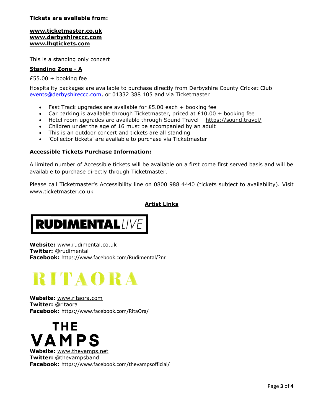#### **Tickets are available from:**

#### **[www.ticketmaster.co.uk](http://www.ticketmaster.co.uk/) www.derbyshireccc.com [www.lhgtickets.com](http://www.lhgtickets.com/)**

This is a standing only concert

#### **Standing Zone - A**

£55.00 + booking fee

Hospitality packages are available to purchase directly from Derbyshire County Cricket Club [events@derbyshireccc.com,](mailto:events@derbyshireccc.com) or 01332 388 105 and via Ticketmaster

- Fast Track upgrades are available for £5.00 each + booking fee
- Car parking is available through Ticketmaster, priced at £10.00 + booking fee
- Hotel room upgrades are available through Sound Travel <https://sound.travel/>
- Children under the age of 16 must be accompanied by an adult
- This is an outdoor concert and tickets are all standing
- 'Collector tickets' are available to purchase via Ticketmaster

#### **Accessible Tickets Purchase Information:**

A limited number of Accessible tickets will be available on a first come first served basis and will be available to purchase directly through Ticketmaster.

Please call Ticketmaster's Accessibility line on 0800 988 4440 (tickets subject to availability). Visit [www.ticketmaster.co.uk](http://www.ticketmaster.co.uk/)

#### **Artist Links**

**RUDIMENTALIVE** 

**Website:** [www.rudimental.co.uk](http://www.rudimental.co.uk/) **Twitter:** @rudimental **Facebook:** <https://www.facebook.com/Rudimental/?nr>

## **RITAORA**

**Website:** [www.ritaora.com](http://www.ritaora.com/) **Twitter:** @ritaora **Facebook:** <https://www.facebook.com/RitaOra/>

THE VAMPS **Website:** [www.thevamps.net](http://www.thevamps.net/) **Twitter:** @thevampsband **Facebook:** <https://www.facebook.com/thevampsofficial/>